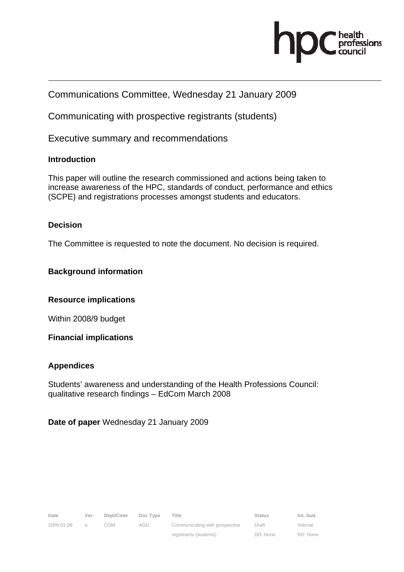

# Communications Committee, Wednesday 21 January 2009

Communicating with prospective registrants (students)

Executive summary and recommendations

## **Introduction**

This paper will outline the research commissioned and actions being taken to increase awareness of the HPC, standards of conduct, performance and ethics (SCPE) and registrations processes amongst students and educators.

### **Decision**

The Committee is requested to note the document. No decision is required.

### **Background information**

### **Resource implications**

Within 2008/9 budget

**Financial implications** 

### **Appendices**

Students' awareness and understanding of the Health Professions Council: qualitative research findings – EdCom March 2008

**Date of paper** Wednesday 21 January 2009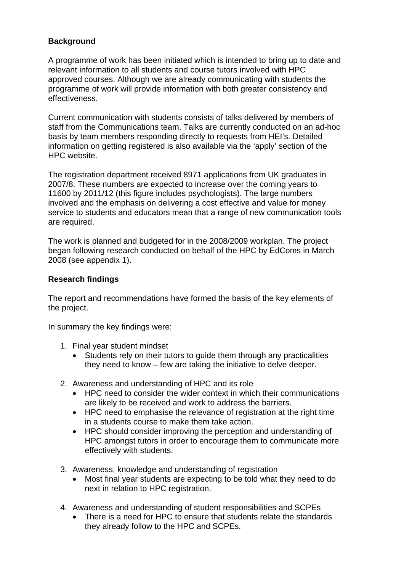# **Background**

A programme of work has been initiated which is intended to bring up to date and relevant information to all students and course tutors involved with HPC approved courses. Although we are already communicating with students the programme of work will provide information with both greater consistency and effectiveness.

Current communication with students consists of talks delivered by members of staff from the Communications team. Talks are currently conducted on an ad-hoc basis by team members responding directly to requests from HEI's. Detailed information on getting registered is also available via the 'apply' section of the HPC website.

The registration department received 8971 applications from UK graduates in 2007/8. These numbers are expected to increase over the coming years to 11600 by 2011/12 (this figure includes psychologists). The large numbers involved and the emphasis on delivering a cost effective and value for money service to students and educators mean that a range of new communication tools are required.

The work is planned and budgeted for in the 2008/2009 workplan. The project began following research conducted on behalf of the HPC by EdComs in March 2008 (see appendix 1).

### **Research findings**

The report and recommendations have formed the basis of the key elements of the project.

In summary the key findings were:

- 1. Final year student mindset
	- Students rely on their tutors to guide them through any practicalities they need to know – few are taking the initiative to delve deeper.
- 2. Awareness and understanding of HPC and its role
	- HPC need to consider the wider context in which their communications are likely to be received and work to address the barriers.
	- HPC need to emphasise the relevance of registration at the right time in a students course to make them take action.
	- HPC should consider improving the perception and understanding of HPC amongst tutors in order to encourage them to communicate more effectively with students.
- 3. Awareness, knowledge and understanding of registration
	- Most final year students are expecting to be told what they need to do next in relation to HPC registration.
- 4. Awareness and understanding of student responsibilities and SCPEs
	- There is a need for HPC to ensure that students relate the standards they already follow to the HPC and SCPEs.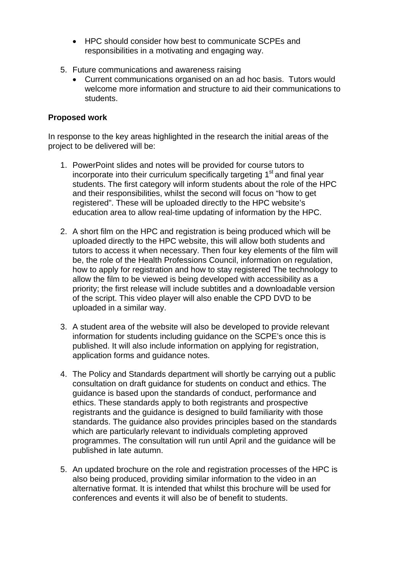- HPC should consider how best to communicate SCPEs and responsibilities in a motivating and engaging way.
- 5. Future communications and awareness raising
	- Current communications organised on an ad hoc basis. Tutors would welcome more information and structure to aid their communications to students.

### **Proposed work**

In response to the key areas highlighted in the research the initial areas of the project to be delivered will be:

- 1. PowerPoint slides and notes will be provided for course tutors to incorporate into their curriculum specifically targeting  $1<sup>st</sup>$  and final year students. The first category will inform students about the role of the HPC and their responsibilities, whilst the second will focus on "how to get registered". These will be uploaded directly to the HPC website's education area to allow real-time updating of information by the HPC.
- 2. A short film on the HPC and registration is being produced which will be uploaded directly to the HPC website, this will allow both students and tutors to access it when necessary. Then four key elements of the film will be, the role of the Health Professions Council, information on regulation, how to apply for registration and how to stay registered The technology to allow the film to be viewed is being developed with accessibility as a priority; the first release will include subtitles and a downloadable version of the script. This video player will also enable the CPD DVD to be uploaded in a similar way.
- 3. A student area of the website will also be developed to provide relevant information for students including guidance on the SCPE's once this is published. It will also include information on applying for registration, application forms and guidance notes.
- 4. The Policy and Standards department will shortly be carrying out a public consultation on draft guidance for students on conduct and ethics. The guidance is based upon the standards of conduct, performance and ethics. These standards apply to both registrants and prospective registrants and the guidance is designed to build familiarity with those standards. The guidance also provides principles based on the standards which are particularly relevant to individuals completing approved programmes. The consultation will run until April and the guidance will be published in late autumn.
- 5. An updated brochure on the role and registration processes of the HPC is also being produced, providing similar information to the video in an alternative format. It is intended that whilst this brochure will be used for conferences and events it will also be of benefit to students.